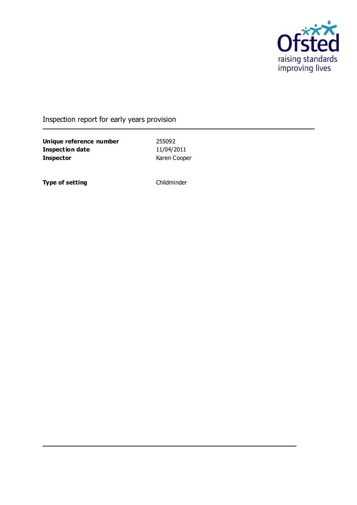

### Inspection report for early years provision

**Unique reference number** 255092<br> **Inspection date** 11/04/2011 **Inspection date Inspector** Karen Cooper

**Type of setting** Childminder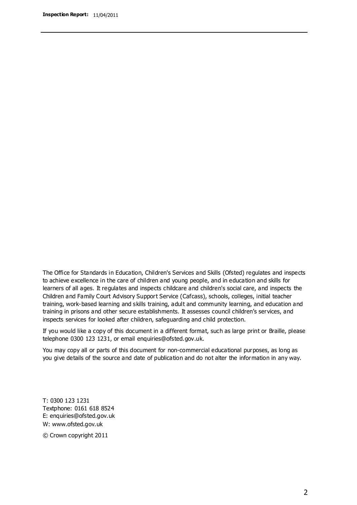The Office for Standards in Education, Children's Services and Skills (Ofsted) regulates and inspects to achieve excellence in the care of children and young people, and in education and skills for learners of all ages. It regulates and inspects childcare and children's social care, and inspects the Children and Family Court Advisory Support Service (Cafcass), schools, colleges, initial teacher training, work-based learning and skills training, adult and community learning, and education and training in prisons and other secure establishments. It assesses council children's services, and inspects services for looked after children, safeguarding and child protection.

If you would like a copy of this document in a different format, such as large print or Braille, please telephone 0300 123 1231, or email enquiries@ofsted.gov.uk.

You may copy all or parts of this document for non-commercial educational purposes, as long as you give details of the source and date of publication and do not alter the information in any way.

T: 0300 123 1231 Textphone: 0161 618 8524 E: enquiries@ofsted.gov.uk W: [www.ofsted.gov.uk](http://www.ofsted.gov.uk/)

© Crown copyright 2011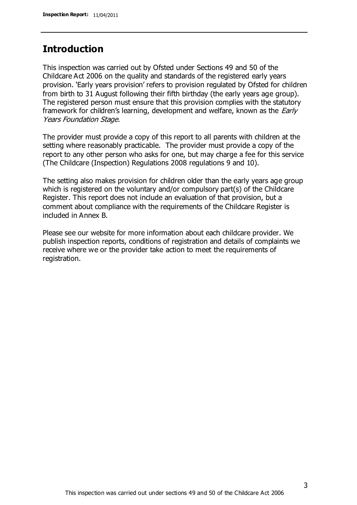### **Introduction**

This inspection was carried out by Ofsted under Sections 49 and 50 of the Childcare Act 2006 on the quality and standards of the registered early years provision. 'Early years provision' refers to provision regulated by Ofsted for children from birth to 31 August following their fifth birthday (the early years age group). The registered person must ensure that this provision complies with the statutory framework for children's learning, development and welfare, known as the *Early* Years Foundation Stage.

The provider must provide a copy of this report to all parents with children at the setting where reasonably practicable. The provider must provide a copy of the report to any other person who asks for one, but may charge a fee for this service (The Childcare (Inspection) Regulations 2008 regulations 9 and 10).

The setting also makes provision for children older than the early years age group which is registered on the voluntary and/or compulsory part(s) of the Childcare Register. This report does not include an evaluation of that provision, but a comment about compliance with the requirements of the Childcare Register is included in Annex B.

Please see our website for more information about each childcare provider. We publish inspection reports, conditions of registration and details of complaints we receive where we or the provider take action to meet the requirements of registration.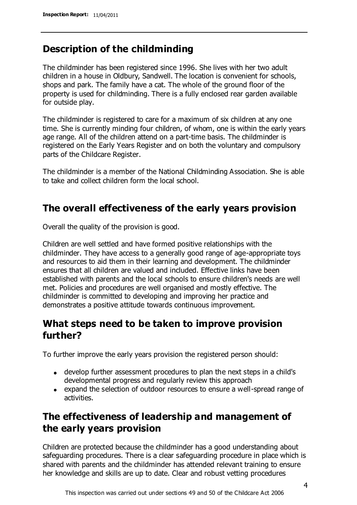### **Description of the childminding**

The childminder has been registered since 1996. She lives with her two adult children in a house in Oldbury, Sandwell. The location is convenient for schools, shops and park. The family have a cat. The whole of the ground floor of the property is used for childminding. There is a fully enclosed rear garden available for outside play.

The childminder is registered to care for a maximum of six children at any one time. She is currently minding four children, of whom, one is within the early years age range. All of the children attend on a part-time basis. The childminder is registered on the Early Years Register and on both the voluntary and compulsory parts of the Childcare Register.

The childminder is a member of the National Childminding Association. She is able to take and collect children form the local school.

# **The overall effectiveness of the early years provision**

Overall the quality of the provision is good.

Children are well settled and have formed positive relationships with the childminder. They have access to a generally good range of age-appropriate toys and resources to aid them in their learning and development. The childminder ensures that all children are valued and included. Effective links have been established with parents and the local schools to ensure children's needs are well met. Policies and procedures are well organised and mostly effective. The childminder is committed to developing and improving her practice and demonstrates a positive attitude towards continuous improvement.

## **What steps need to be taken to improve provision further?**

To further improve the early years provision the registered person should:

- develop further assessment procedures to plan the next steps in a child's developmental progress and regularly review this approach
- expand the selection of outdoor resources to ensure a well-spread range of activities.

# **The effectiveness of leadership and management of the early years provision**

Children are protected because the childminder has a good understanding about safeguarding procedures. There is a clear safeguarding procedure in place which is shared with parents and the childminder has attended relevant training to ensure her knowledge and skills are up to date. Clear and robust vetting procedures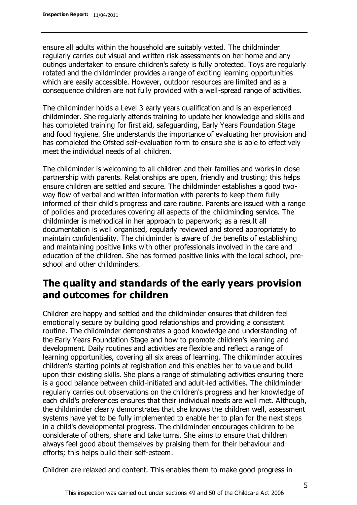ensure all adults within the household are suitably vetted. The childminder regularly carries out visual and written risk assessments on her home and any outings undertaken to ensure children's safety is fully protected. Toys are regularly rotated and the childminder provides a range of exciting learning opportunities which are easily accessible. However, outdoor resources are limited and as a consequence children are not fully provided with a well-spread range of activities.

The childminder holds a Level 3 early years qualification and is an experienced childminder. She regularly attends training to update her knowledge and skills and has completed training for first aid, safeguarding, Early Years Foundation Stage and food hygiene. She understands the importance of evaluating her provision and has completed the Ofsted self-evaluation form to ensure she is able to effectively meet the individual needs of all children.

The childminder is welcoming to all children and their families and works in close partnership with parents. Relationships are open, friendly and trusting; this helps ensure children are settled and secure. The childminder establishes a good twoway flow of verbal and written information with parents to keep them fully informed of their child's progress and care routine. Parents are issued with a range of policies and procedures covering all aspects of the childminding service. The childminder is methodical in her approach to paperwork; as a result all documentation is well organised, regularly reviewed and stored appropriately to maintain confidentiality. The childminder is aware of the benefits of establishing and maintaining positive links with other professionals involved in the care and education of the children. She has formed positive links with the local school, preschool and other childminders.

### **The quality and standards of the early years provision and outcomes for children**

Children are happy and settled and the childminder ensures that children feel emotionally secure by building good relationships and providing a consistent routine. The childminder demonstrates a good knowledge and understanding of the Early Years Foundation Stage and how to promote children's learning and development. Daily routines and activities are flexible and reflect a range of learning opportunities, covering all six areas of learning. The childminder acquires children's starting points at registration and this enables her to value and build upon their existing skills. She plans a range of stimulating activities ensuring there is a good balance between child-initiated and adult-led activities. The childminder regularly carries out observations on the children's progress and her knowledge of each child's preferences ensures that their individual needs are well met. Although, the childminder clearly demonstrates that she knows the children well, assessment systems have yet to be fully implemented to enable her to plan for the next steps in a child's developmental progress. The childminder encourages children to be considerate of others, share and take turns. She aims to ensure that children always feel good about themselves by praising them for their behaviour and efforts; this helps build their self-esteem.

Children are relaxed and content. This enables them to make good progress in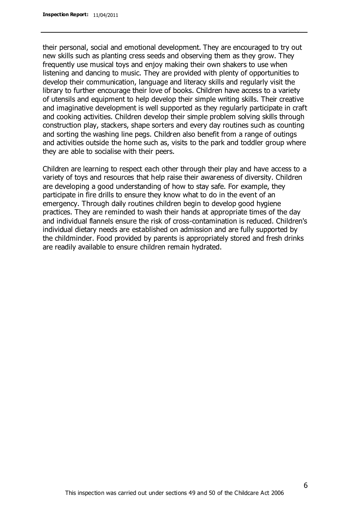their personal, social and emotional development. They are encouraged to try out new skills such as planting cress seeds and observing them as they grow. They frequently use musical toys and enjoy making their own shakers to use when listening and dancing to music. They are provided with plenty of opportunities to develop their communication, language and literacy skills and regularly visit the library to further encourage their love of books. Children have access to a variety of utensils and equipment to help develop their simple writing skills. Their creative and imaginative development is well supported as they regularly participate in craft and cooking activities. Children develop their simple problem solving skills through construction play, stackers, shape sorters and every day routines such as counting and sorting the washing line pegs. Children also benefit from a range of outings and activities outside the home such as, visits to the park and toddler group where they are able to socialise with their peers.

Children are learning to respect each other through their play and have access to a variety of toys and resources that help raise their awareness of diversity. Children are developing a good understanding of how to stay safe. For example, they participate in fire drills to ensure they know what to do in the event of an emergency. Through daily routines children begin to develop good hygiene practices. They are reminded to wash their hands at appropriate times of the day and individual flannels ensure the risk of cross-contamination is reduced. Children's individual dietary needs are established on admission and are fully supported by the childminder. Food provided by parents is appropriately stored and fresh drinks are readily available to ensure children remain hydrated.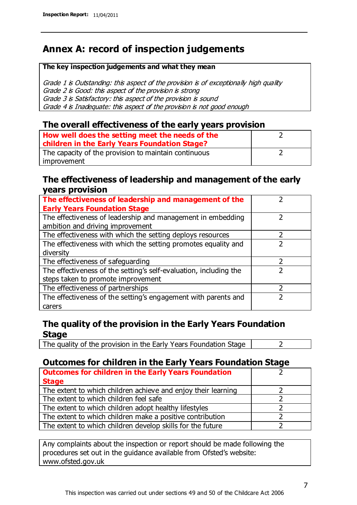# **Annex A: record of inspection judgements**

#### **The key inspection judgements and what they mean**

Grade 1 is Outstanding: this aspect of the provision is of exceptionally high quality Grade 2 is Good: this aspect of the provision is strong Grade 3 is Satisfactory: this aspect of the provision is sound Grade 4 is Inadequate: this aspect of the provision is not good enough

#### **The overall effectiveness of the early years provision**

| How well does the setting meet the needs of the<br>children in the Early Years Foundation Stage? |  |
|--------------------------------------------------------------------------------------------------|--|
| The capacity of the provision to maintain continuous                                             |  |
| improvement                                                                                      |  |

#### **The effectiveness of leadership and management of the early years provision**

| The effectiveness of leadership and management of the             |  |
|-------------------------------------------------------------------|--|
| <b>Early Years Foundation Stage</b>                               |  |
| The effectiveness of leadership and management in embedding       |  |
| ambition and driving improvement                                  |  |
| The effectiveness with which the setting deploys resources        |  |
| The effectiveness with which the setting promotes equality and    |  |
| diversity                                                         |  |
| The effectiveness of safeguarding                                 |  |
| The effectiveness of the setting's self-evaluation, including the |  |
| steps taken to promote improvement                                |  |
| The effectiveness of partnerships                                 |  |
| The effectiveness of the setting's engagement with parents and    |  |
| carers                                                            |  |

### **The quality of the provision in the Early Years Foundation Stage**

The quality of the provision in the Early Years Foundation Stage  $\vert$  2

### **Outcomes for children in the Early Years Foundation Stage**

| <b>Outcomes for children in the Early Years Foundation</b>    |  |
|---------------------------------------------------------------|--|
| <b>Stage</b>                                                  |  |
| The extent to which children achieve and enjoy their learning |  |
| The extent to which children feel safe                        |  |
| The extent to which children adopt healthy lifestyles         |  |
| The extent to which children make a positive contribution     |  |
| The extent to which children develop skills for the future    |  |

Any complaints about the inspection or report should be made following the procedures set out in the guidance available from Ofsted's website: www.ofsted.gov.uk